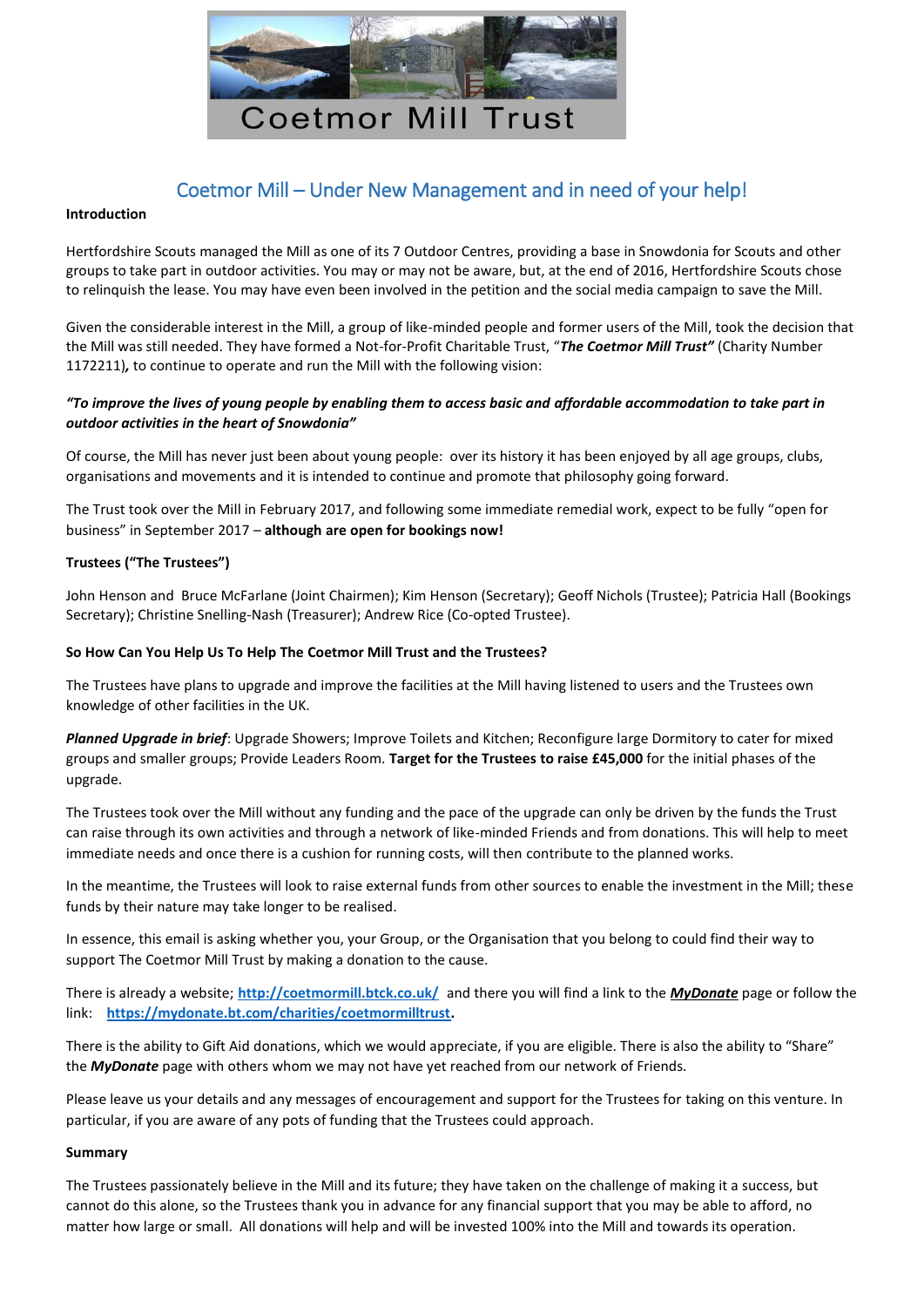

# Coetmor Mill – Under New Management and in need of your help!

#### **Introduction**

Hertfordshire Scouts managed the Mill as one of its 7 Outdoor Centres, providing a base in Snowdonia for Scouts and other groups to take part in outdoor activities. You may or may not be aware, but, at the end of 2016, Hertfordshire Scouts chose to relinquish the lease. You may have even been involved in the petition and the social media campaign to save the Mill.

Given the considerable interest in the Mill, a group of like-minded people and former users of the Mill, took the decision that the Mill was still needed. They have formed a Not-for-Profit Charitable Trust, "*The Coetmor Mill Trust"* (Charity Number 1172211)*,* to continue to operate and run the Mill with the following vision:

## *"To improve the lives of young people by enabling them to access basic and affordable accommodation to take part in outdoor activities in the heart of Snowdonia"*

Of course, the Mill has never just been about young people: over its history it has been enjoyed by all age groups, clubs, organisations and movements and it is intended to continue and promote that philosophy going forward.

The Trust took over the Mill in February 2017, and following some immediate remedial work, expect to be fully "open for business" in September 2017 – **although are open for bookings now!**

## **Trustees ("The Trustees")**

John Henson and Bruce McFarlane (Joint Chairmen); Kim Henson (Secretary); Geoff Nichols (Trustee); Patricia Hall (Bookings Secretary); Christine Snelling-Nash (Treasurer); Andrew Rice (Co-opted Trustee).

### **So How Can You Help Us To Help The Coetmor Mill Trust and the Trustees?**

The Trustees have plans to upgrade and improve the facilities at the Mill having listened to users and the Trustees own knowledge of other facilities in the UK.

*Planned Upgrade in brief*: Upgrade Showers; Improve Toilets and Kitchen; Reconfigure large Dormitory to cater for mixed groups and smaller groups; Provide Leaders Room. **Target for the Trustees to raise £45,000** for the initial phases of the upgrade.

The Trustees took over the Mill without any funding and the pace of the upgrade can only be driven by the funds the Trust can raise through its own activities and through a network of like-minded Friends and from donations. This will help to meet immediate needs and once there is a cushion for running costs, will then contribute to the planned works.

In the meantime, the Trustees will look to raise external funds from other sources to enable the investment in the Mill; these funds by their nature may take longer to be realised.

In essence, this email is asking whether you, your Group, or the Organisation that you belong to could find their way to support The Coetmor Mill Trust by making a donation to the cause.

There is already a website; **<http://coetmormill.btck.co.uk/>** and there you will find a link to the *MyDonate* page or follow the link: **[https://mydonate.bt.com/charities/coetmormilltrust.](https://mydonate.bt.com/charities/coetmormilltrust)**

There is the ability to Gift Aid donations, which we would appreciate, if you are eligible. There is also the ability to "Share" the *MyDonate* page with others whom we may not have yet reached from our network of Friends.

Please leave us your details and any messages of encouragement and support for the Trustees for taking on this venture. In particular, if you are aware of any pots of funding that the Trustees could approach.

#### **Summary**

The Trustees passionately believe in the Mill and its future; they have taken on the challenge of making it a success, but cannot do this alone, so the Trustees thank you in advance for any financial support that you may be able to afford, no matter how large or small. All donations will help and will be invested 100% into the Mill and towards its operation.